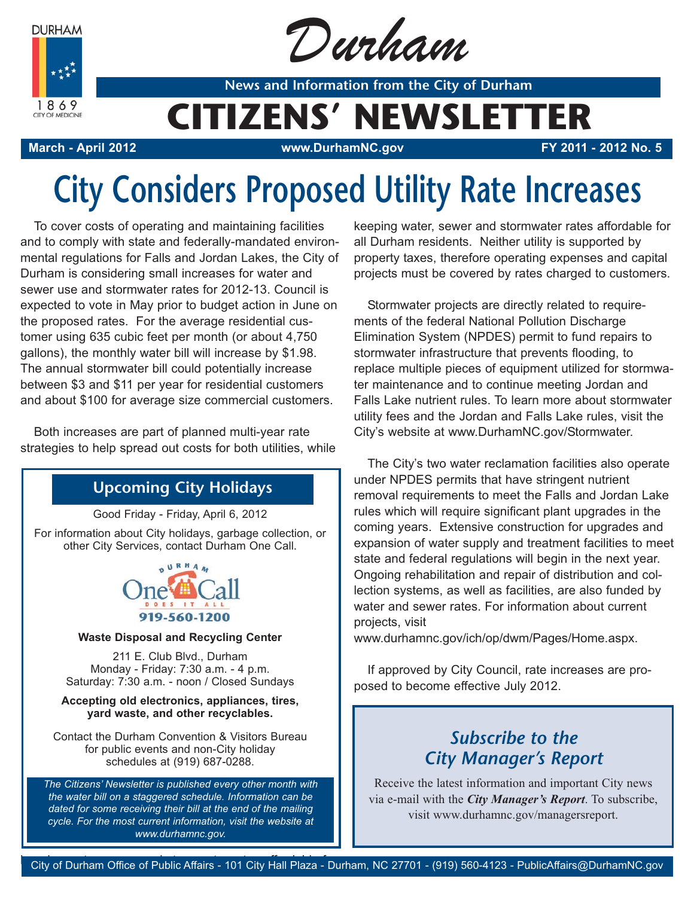**DURHAM** 



Durham

**News and Information from the City of Durham**

## **CITIZENS' NEWSLETTER**

**March - April 2012 www.DurhamNC.gov FY 2011 - 2012 No. 5**

# **City Considers Proposed Utility Rate Increases**

To cover costs of operating and maintaining facilities and to comply with state and federally-mandated environmental regulations for Falls and Jordan Lakes, the City of Durham is considering small increases for water and sewer use and stormwater rates for 2012-13. Council is expected to vote in May prior to budget action in June on the proposed rates. For the average residential customer using 635 cubic feet per month (or about 4,750 gallons), the monthly water bill will increase by \$1.98. The annual stormwater bill could potentially increase between \$3 and \$11 per year for residential customers and about \$100 for average size commercial customers.

Both increases are part of planned multi-year rate strategies to help spread out costs for both utilities, while

### **Upcoming City Holidays**

Good Friday - Friday, April 6, 2012

For information about City holidays, garbage collection, or other City Services, contact Durham One Call.



#### **Waste Disposal and Recycling Center**

211 E. Club Blvd., Durham Monday - Friday: 7:30 a.m. - 4 p.m. Saturday: 7:30 a.m. - noon / Closed Sundays

#### **Accepting old electronics, appliances, tires, yard waste, and other recyclables.**

Contact the Durham Convention & Visitors Bureau for public events and non-City holiday schedules at (919) 687-0288.

*The Citizens' Newsletter is published every other month with the water bill on a staggered schedule. Information can be dated for some receiving their bill at the end of the mailing cycle. For the most current information, visit the website at www.durhamnc.gov.*

keeping water, sewer and stormwater rates affordable for all Durham residents. Neither utility is supported by property taxes, therefore operating expenses and capital projects must be covered by rates charged to customers.

Stormwater projects are directly related to requirements of the federal National Pollution Discharge Elimination System (NPDES) permit to fund repairs to stormwater infrastructure that prevents flooding, to replace multiple pieces of equipment utilized for stormwater maintenance and to continue meeting Jordan and Falls Lake nutrient rules. To learn more about stormwater utility fees and the Jordan and Falls Lake rules, visit the City's website at www.DurhamNC.gov/Stormwater.

The City's two water reclamation facilities also operate under NPDES permits that have stringent nutrient removal requirements to meet the Falls and Jordan Lake rules which will require significant plant upgrades in the coming years. Extensive construction for upgrades and expansion of water supply and treatment facilities to meet state and federal regulations will begin in the next year. Ongoing rehabilitation and repair of distribution and collection systems, as well as facilities, are also funded by water and sewer rates. For information about current projects, visit

www.durhamnc.gov/ich/op/dwm/Pages/Home.aspx.

If approved by City Council, rate increases are proposed to become effective July 2012.

## *Subscribe to the City Manager's Report*

Receive the latest information and important City news via e-mail with the *City Manager's Report*. To subscribe, visit www.durhamnc.gov/managersreport.